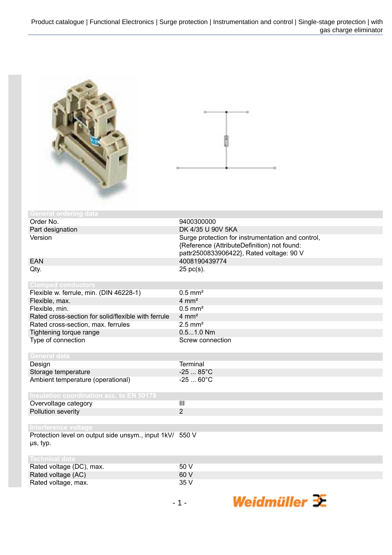Rated voltage, max.



| <b>General ordering data</b>                                         |                                                                                                                                              |
|----------------------------------------------------------------------|----------------------------------------------------------------------------------------------------------------------------------------------|
| Order No.                                                            | 9400300000                                                                                                                                   |
| Part designation                                                     | DK 4/35 U 90V 5KA                                                                                                                            |
| Version                                                              | Surge protection for instrumentation and control,<br>{Reference (AttributeDefinition) not found:<br>pattr2500833906422}, Rated voltage: 90 V |
| <b>EAN</b>                                                           | 4008190439774                                                                                                                                |
| Qty.                                                                 | 25 pc(s).                                                                                                                                    |
| <b>Clamped conductors</b>                                            |                                                                                                                                              |
| Flexible w. ferrule, min. (DIN 46228-1)                              | $0.5$ mm <sup>2</sup>                                                                                                                        |
| Flexible, max.                                                       | $4 \text{ mm}^2$                                                                                                                             |
| Flexible, min.                                                       | $0.5$ mm <sup>2</sup>                                                                                                                        |
| Rated cross-section for solid/flexible with ferrule                  | $4 \text{ mm}^2$                                                                                                                             |
| Rated cross-section, max. ferrules                                   | $2.5$ mm <sup>2</sup>                                                                                                                        |
| Tightening torque range                                              | $0.51.0$ Nm                                                                                                                                  |
| Type of connection                                                   | Screw connection                                                                                                                             |
| <b>General data</b>                                                  |                                                                                                                                              |
| Design                                                               | <b>Terminal</b>                                                                                                                              |
| Storage temperature                                                  | $-2585^{\circ}C$                                                                                                                             |
| Ambient temperature (operational)                                    | $-2560^{\circ}C$                                                                                                                             |
| <b>Insulation coordination acc. to EN 50178</b>                      |                                                                                                                                              |
| Overvoltage category                                                 | $\overline{\mathbf{III}}$                                                                                                                    |
| Pollution severity                                                   | $\overline{2}$                                                                                                                               |
| Interference voltage                                                 |                                                                                                                                              |
| Protection level on output side unsym., input 1kV/ 550 V<br>us, typ. |                                                                                                                                              |
| <b>Technical data</b>                                                |                                                                                                                                              |
| Rated voltage (DC), max.                                             | 50 V                                                                                                                                         |
| Rated voltage (AC)                                                   | 60 V                                                                                                                                         |
| Rated voltage, max.                                                  | 35 V                                                                                                                                         |

Weidmüller  $\mathcal{\mathcal{F}}$